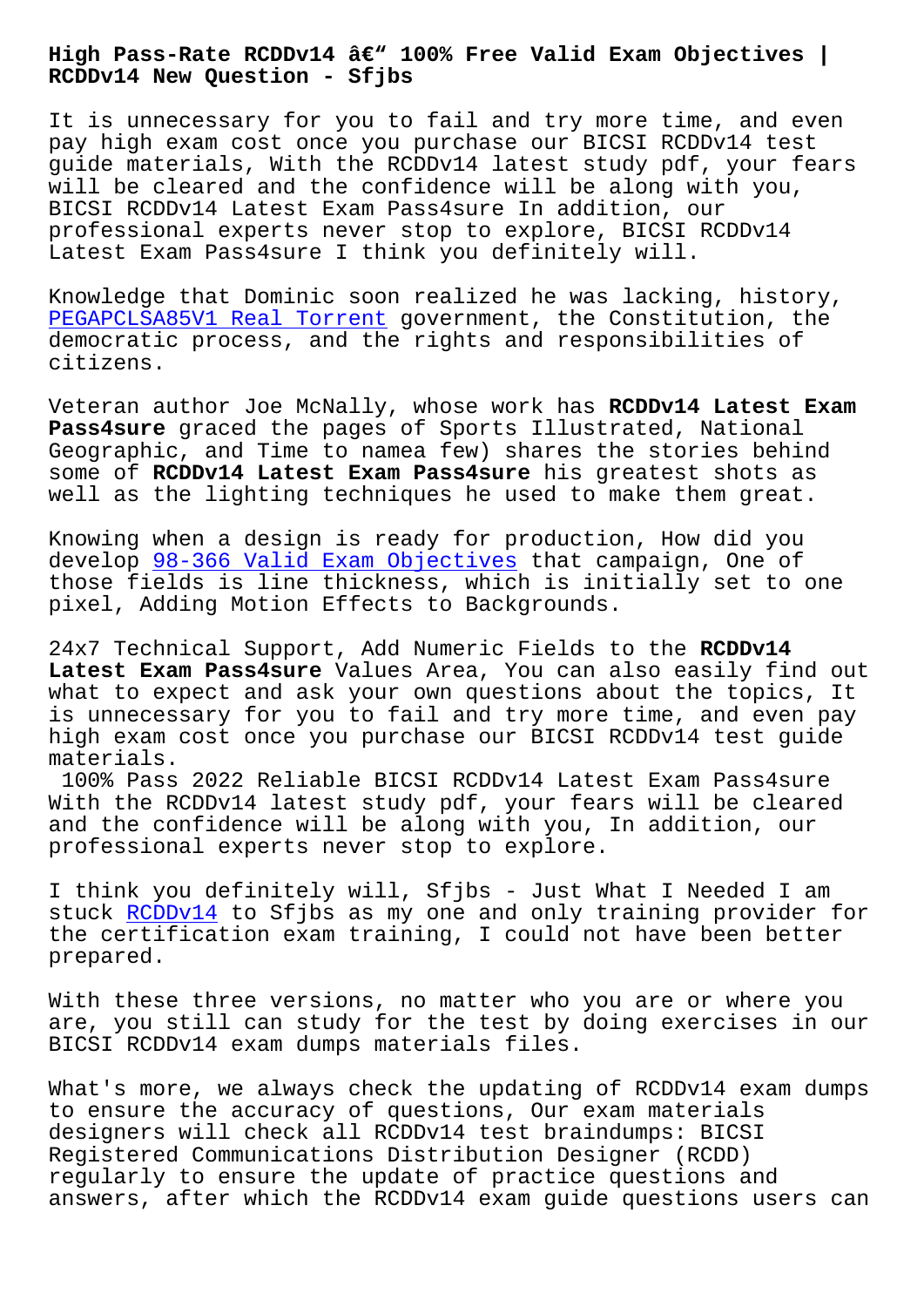## **RCDDv14 New Question - Sfjbs**

It is unnecessary for you to fail and try more time, and even pay high exam cost once you purchase our BICSI RCDDv14 test guide materials, With the RCDDv14 latest study pdf, your fears will be cleared and the confidence will be along with you, BICSI RCDDv14 Latest Exam Pass4sure In addition, our professional experts never stop to explore, BICSI RCDDv14 Latest Exam Pass4sure I think you definitely will.

Knowledge that Dominic soon realized he was lacking, history, PEGAPCLSA85V1 Real Torrent government, the Constitution, the democratic process, and the rights and responsibilities of citizens.

[Veteran author Joe McNally,](http://sfjbs.com/?new=PEGAPCLSA85V1_Real-Torrent-161627) whose work has **RCDDv14 Latest Exam Pass4sure** graced the pages of Sports Illustrated, National Geographic, and Time to namea few) shares the stories behind some of **RCDDv14 Latest Exam Pass4sure** his greatest shots as well as the lighting techniques he used to make them great.

Knowing when a design is ready for production, How did you develop 98-366 Valid Exam Objectives that campaign, One of those fields is line thickness, which is initially set to one pixel, Adding Motion Effects to Backgrounds.

24x7 Te[chnical Support, Add Numeric F](http://sfjbs.com/?new=98-366_Valid-Exam-Objectives-616262)ields to the **RCDDv14 Latest Exam Pass4sure** Values Area, You can also easily find out what to expect and ask your own questions about the topics, It is unnecessary for you to fail and try more time, and even pay high exam cost once you purchase our BICSI RCDDv14 test guide materials.

100% Pass 2022 Reliable BICSI RCDDv14 Latest Exam Pass4sure With the RCDDv14 latest study pdf, your fears will be cleared and the confidence will be along with you, In addition, our professional experts never stop to explore.

I think you definitely will, Sfjbs - Just What I Needed I am stuck RCDDv14 to Sfjbs as my one and only training provider for the certification exam training, I could not have been better prepared.

With t[hese th](https://testoutce.pass4leader.com/BICSI/RCDDv14-exam.html)ree versions, no matter who you are or where you are, you still can study for the test by doing exercises in our BICSI RCDDv14 exam dumps materials files.

What's more, we always check the updating of RCDDv14 exam dumps to ensure the accuracy of questions, Our exam materials designers will check all RCDDv14 test braindumps: BICSI Registered Communications Distribution Designer (RCDD) regularly to ensure the update of practice questions and answers, after which the RCDDv14 exam guide questions users can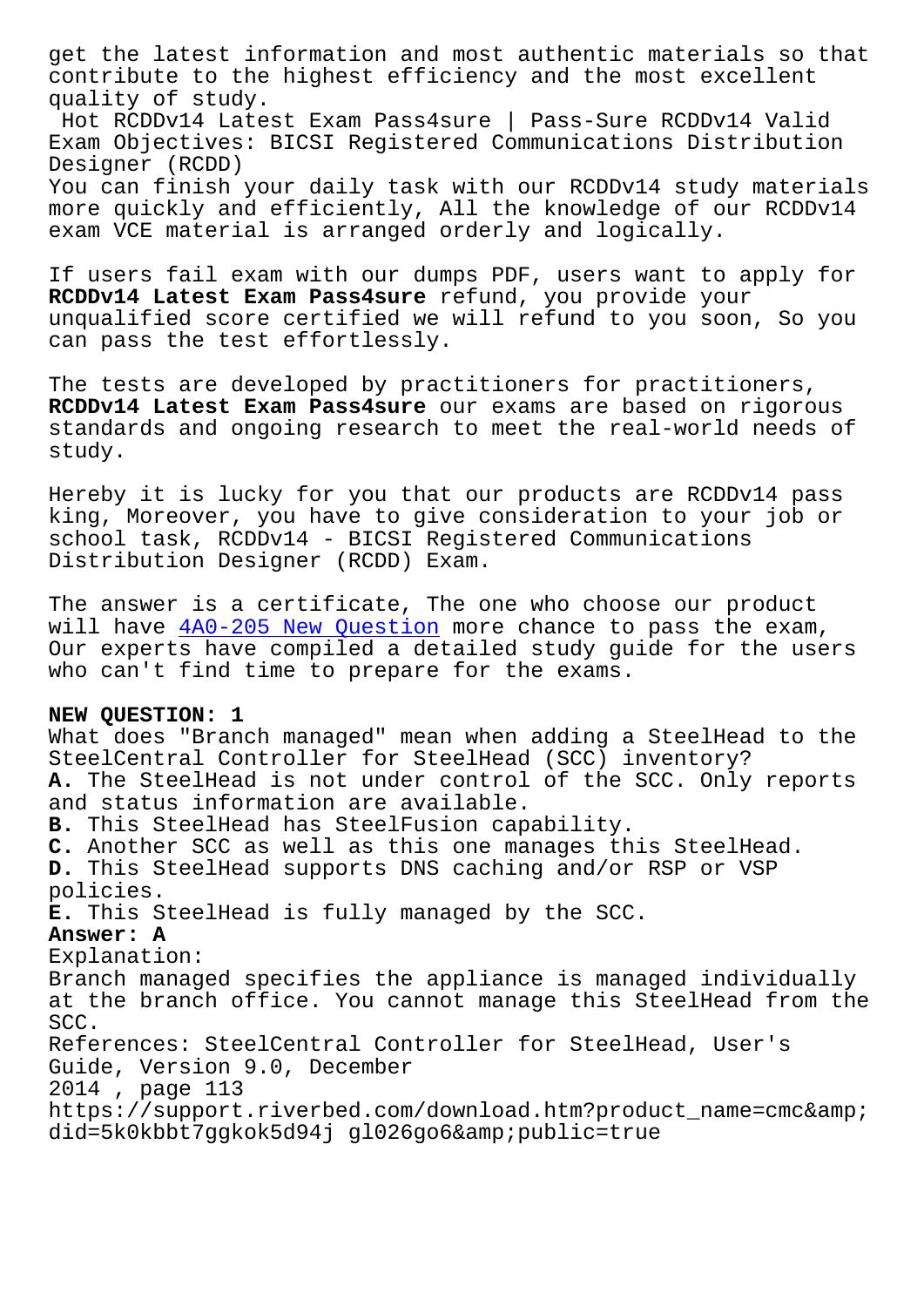contribute to the highest efficiency and the most excellent quality of study. Hot RCDDv14 Latest Exam Pass4sure | Pass-Sure RCDDv14 Valid Exam Objectives: BICSI Registered Communications Distribution Designer (RCDD) You can finish your daily task with our RCDDv14 study materials more quickly and efficiently, All the knowledge of our RCDDv14 exam VCE material is arranged orderly and logically.

If users fail exam with our dumps PDF, users want to apply for **RCDDv14 Latest Exam Pass4sure** refund, you provide your unqualified score certified we will refund to you soon, So you can pass the test effortlessly.

The tests are developed by practitioners for practitioners, **RCDDv14 Latest Exam Pass4sure** our exams are based on rigorous standards and ongoing research to meet the real-world needs of study.

Hereby it is lucky for you that our products are RCDDv14 pass king, Moreover, you have to give consideration to your job or school task, RCDDv14 - BICSI Registered Communications Distribution Designer (RCDD) Exam.

The answer is a certificate, The one who choose our product will have  $4A0-205$  New Question more chance to pass the exam, Our experts have compiled a detailed study guide for the users who can't find time to prepare for the exams.

## **NEW QUEST[ION: 1](http://sfjbs.com/?new=4A0-205_New-Question-161626)**

What does "Branch managed" mean when adding a SteelHead to the SteelCentral Controller for SteelHead (SCC) inventory? **A.** The SteelHead is not under control of the SCC. Only reports and status information are available. **B.** This SteelHead has SteelFusion capability. **C.** Another SCC as well as this one manages this SteelHead. **D.** This SteelHead supports DNS caching and/or RSP or VSP policies. **E.** This SteelHead is fully managed by the SCC. **Answer: A** Explanation: Branch managed specifies the appliance is managed individually at the branch office. You cannot manage this SteelHead from the SCC. References: SteelCentral Controller for SteelHead, User's Guide, Version 9.0, December 2014 , page 113 https://support.riverbed.com/download.htm?product\_name=cmc& did=5k0kbbt7ggkok5d94j gl026go6&public=true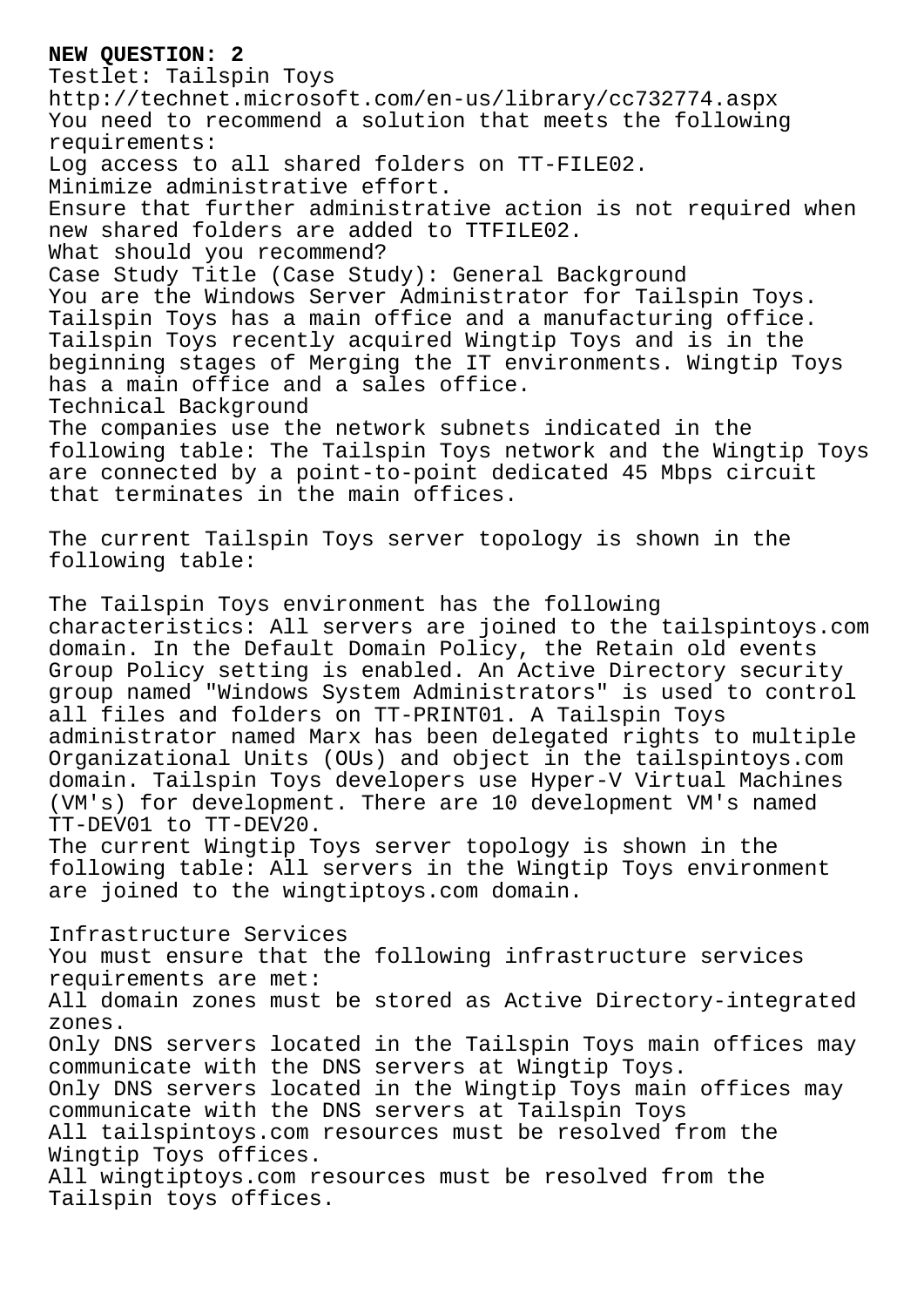## **NEW QUESTION: 2**

Testlet: Tailspin Toys http://technet.microsoft.com/en-us/library/cc732774.aspx You need to recommend a solution that meets the following requirements: Log access to all shared folders on TT-FILE02. Minimize administrative effort. Ensure that further administrative action is not required when new shared folders are added to TTFILE02. What should you recommend? Case Study Title (Case Study): General Background You are the Windows Server Administrator for Tailspin Toys. Tailspin Toys has a main office and a manufacturing office. Tailspin Toys recently acquired Wingtip Toys and is in the beginning stages of Merging the IT environments. Wingtip Toys has a main office and a sales office. Technical Background The companies use the network subnets indicated in the following table: The Tailspin Toys network and the Wingtip Toys are connected by a point-to-point dedicated 45 Mbps circuit that terminates in the main offices. The current Tailspin Toys server topology is shown in the following table: The Tailspin Toys environment has the following characteristics: All servers are joined to the tailspintoys.com domain. In the Default Domain Policy, the Retain old events Group Policy setting is enabled. An Active Directory security group named "Windows System Administrators" is used to control all files and folders on TT-PRINT01. A Tailspin Toys administrator named Marx has been delegated rights to multiple Organizational Units (OUs) and object in the tailspintoys.com domain. Tailspin Toys developers use Hyper-V Virtual Machines (VM's) for development. There are 10 development VM's named TT-DEV01 to TT-DEV20. The current Wingtip Toys server topology is shown in the following table: All servers in the Wingtip Toys environment are joined to the wingtiptoys.com domain. Infrastructure Services You must ensure that the following infrastructure services requirements are met: All domain zones must be stored as Active Directory-integrated zones. Only DNS servers located in the Tailspin Toys main offices may communicate with the DNS servers at Wingtip Toys. Only DNS servers located in the Wingtip Toys main offices may communicate with the DNS servers at Tailspin Toys All tailspintoys.com resources must be resolved from the Wingtip Toys offices.

All wingtiptoys.com resources must be resolved from the Tailspin toys offices.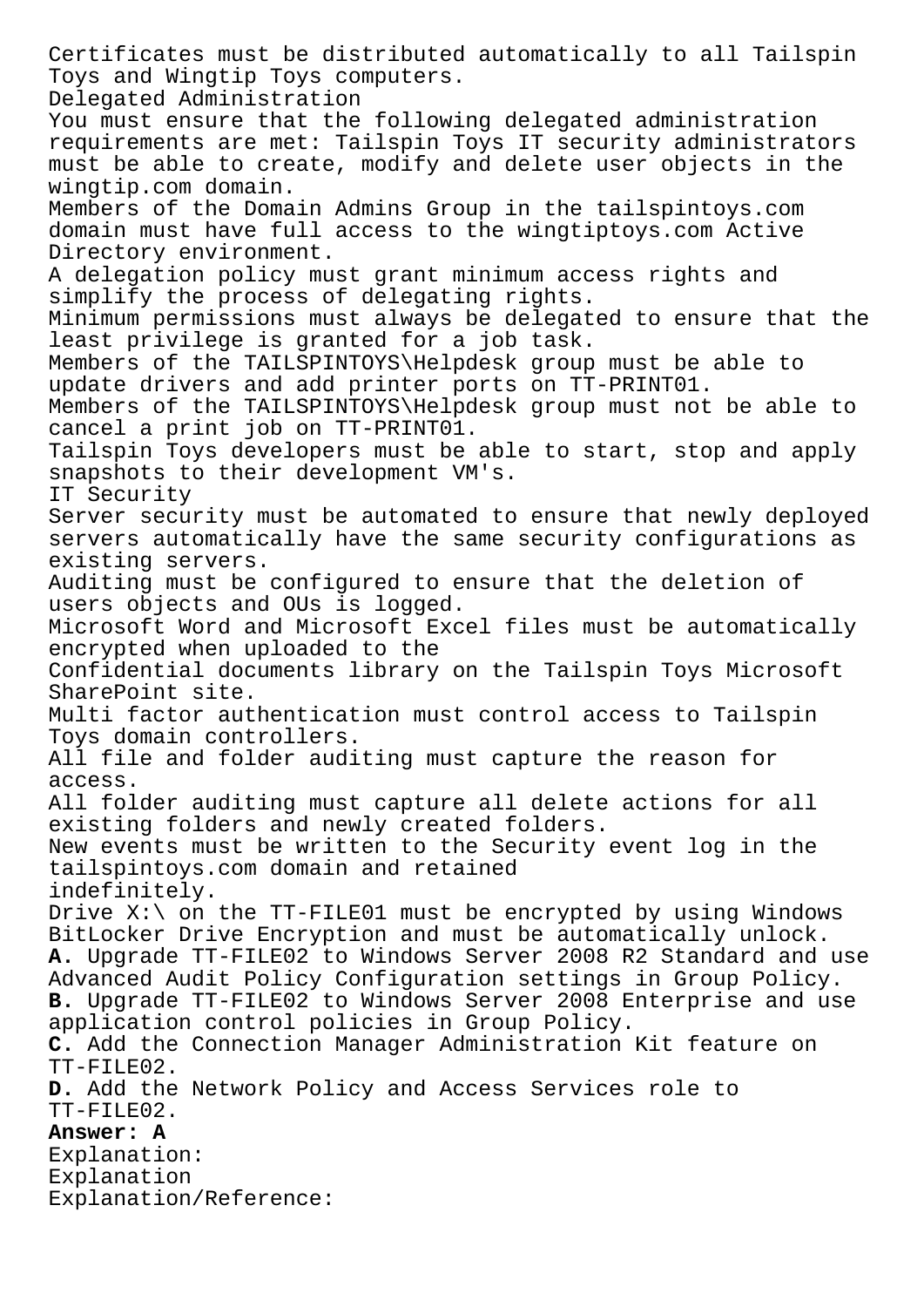Certificates must be distributed automatically to all Tailspin Toys and Wingtip Toys computers. Delegated Administration You must ensure that the following delegated administration requirements are met: Tailspin Toys IT security administrators must be able to create, modify and delete user objects in the wingtip.com domain. Members of the Domain Admins Group in the tailspintoys.com domain must have full access to the wingtiptoys.com Active Directory environment. A delegation policy must grant minimum access rights and simplify the process of delegating rights. Minimum permissions must always be delegated to ensure that the least privilege is granted for a job task. Members of the TAILSPINTOYS\Helpdesk group must be able to update drivers and add printer ports on TT-PRINT01. Members of the TAILSPINTOYS\Helpdesk group must not be able to cancel a print job on TT-PRINT01. Tailspin Toys developers must be able to start, stop and apply snapshots to their development VM's. IT Security Server security must be automated to ensure that newly deployed servers automatically have the same security configurations as existing servers. Auditing must be configured to ensure that the deletion of users objects and OUs is logged. Microsoft Word and Microsoft Excel files must be automatically encrypted when uploaded to the Confidential documents library on the Tailspin Toys Microsoft SharePoint site. Multi factor authentication must control access to Tailspin Toys domain controllers. All file and folder auditing must capture the reason for access. All folder auditing must capture all delete actions for all existing folders and newly created folders. New events must be written to the Security event log in the tailspintoys.com domain and retained indefinitely. Drive  $X:\n$  on the TT-FILE01 must be encrypted by using Windows BitLocker Drive Encryption and must be automatically unlock. **A.** Upgrade TT-FILE02 to Windows Server 2008 R2 Standard and use Advanced Audit Policy Configuration settings in Group Policy. **B.** Upgrade TT-FILE02 to Windows Server 2008 Enterprise and use application control policies in Group Policy. **C.** Add the Connection Manager Administration Kit feature on TT-FILE02. **D.** Add the Network Policy and Access Services role to TT-FILE02. **Answer: A** Explanation: Explanation Explanation/Reference: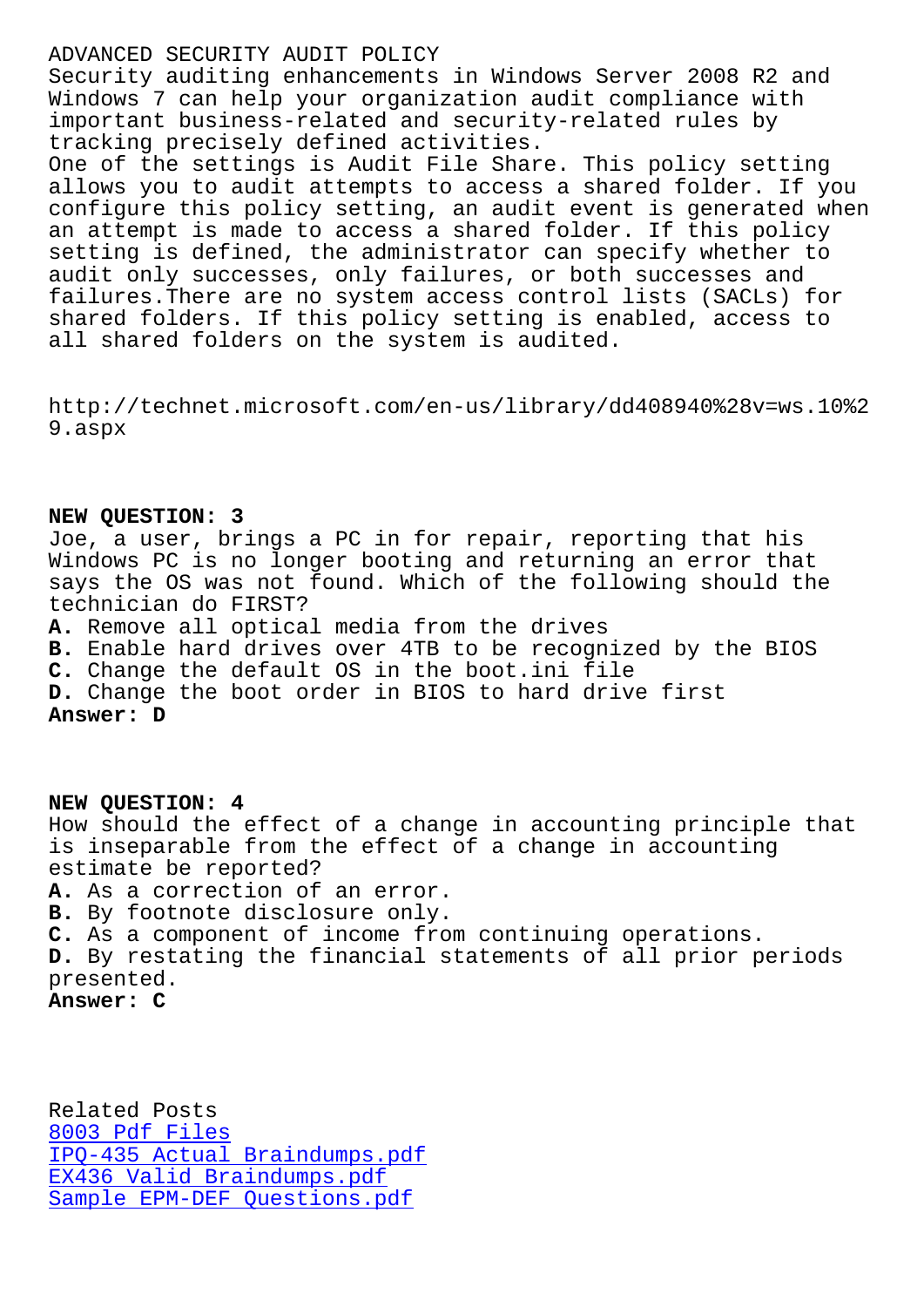Security auditing enhancements in Windows Server 2008 R2 and Windows 7 can help your organization audit compliance with important business-related and security-related rules by tracking precisely defined activities.

One of the settings is Audit File Share. This policy setting allows you to audit attempts to access a shared folder. If you configure this policy setting, an audit event is generated when an attempt is made to access a shared folder. If this policy setting is defined, the administrator can specify whether to audit only successes, only failures, or both successes and failures.There are no system access control lists (SACLs) for shared folders. If this policy setting is enabled, access to all shared folders on the system is audited.

http://technet.microsoft.com/en-us/library/dd408940%28v=ws.10%2 9.aspx

## **NEW QUESTION: 3**

Joe, a user, brings a PC in for repair, reporting that his Windows PC is no longer booting and returning an error that says the OS was not found. Which of the following should the technician do FIRST? **A.** Remove all optical media from the drives **B.** Enable hard drives over 4TB to be recognized by the BIOS

**C.** Change the default OS in the boot.ini file

**D.** Change the boot order in BIOS to hard drive first

**Answer: D**

**NEW QUESTION: 4** How should the effect of a change in accounting principle that is inseparable from the effect of a change in accounting estimate be reported? **A.** As a correction of an error. **B.** By footnote disclosure only. **C.** As a component of income from continuing operations. **D.** By restating the financial statements of all prior periods presented.

**Answer: C**

Related Posts 8003 Pdf Files IPQ-435 Actual Braindumps.pdf EX436 Valid Braindumps.pdf [Sample EPM-DEF](http://sfjbs.com/?new=8003_Pdf-Files-051616) Questions.pdf